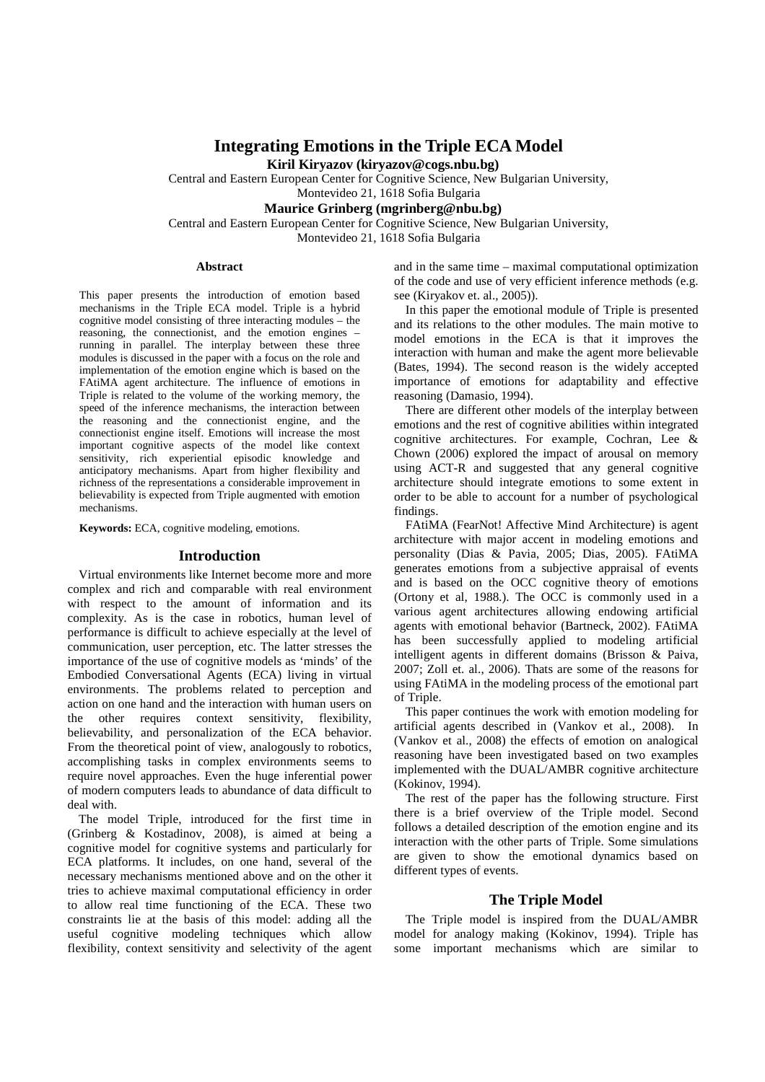# **Integrating Emotions in the Triple ECA Model**

**Kiril Kiryazov (kiryazov@cogs.nbu.bg)** 

Central and Eastern European Center for Cognitive Science, New Bulgarian University,

Montevideo 21, 1618 Sofia Bulgaria

# **Maurice Grinberg (mgrinberg@nbu.bg)**

Central and Eastern European Center for Cognitive Science, New Bulgarian University,

Montevideo 21, 1618 Sofia Bulgaria

#### **Abstract**

This paper presents the introduction of emotion based mechanisms in the Triple ECA model. Triple is a hybrid cognitive model consisting of three interacting modules – the reasoning, the connectionist, and the emotion engines – running in parallel. The interplay between these three modules is discussed in the paper with a focus on the role and implementation of the emotion engine which is based on the FAtiMA agent architecture. The influence of emotions in Triple is related to the volume of the working memory, the speed of the inference mechanisms, the interaction between the reasoning and the connectionist engine, and the connectionist engine itself. Emotions will increase the most important cognitive aspects of the model like context sensitivity, rich experiential episodic knowledge and anticipatory mechanisms. Apart from higher flexibility and richness of the representations a considerable improvement in believability is expected from Triple augmented with emotion mechanisms.

**Keywords:** ECA, cognitive modeling, emotions.

### **Introduction**

Virtual environments like Internet become more and more complex and rich and comparable with real environment with respect to the amount of information and its complexity. As is the case in robotics, human level of performance is difficult to achieve especially at the level of communication, user perception, etc. The latter stresses the importance of the use of cognitive models as 'minds' of the Embodied Conversational Agents (ECA) living in virtual environments. The problems related to perception and action on one hand and the interaction with human users on the other requires context sensitivity, flexibility, believability, and personalization of the ECA behavior. From the theoretical point of view, analogously to robotics, accomplishing tasks in complex environments seems to require novel approaches. Even the huge inferential power of modern computers leads to abundance of data difficult to deal with.

The model Triple, introduced for the first time in (Grinberg & Kostadinov, 2008), is aimed at being a cognitive model for cognitive systems and particularly for ECA platforms. It includes, on one hand, several of the necessary mechanisms mentioned above and on the other it tries to achieve maximal computational efficiency in order to allow real time functioning of the ECA. These two constraints lie at the basis of this model: adding all the useful cognitive modeling techniques which allow flexibility, context sensitivity and selectivity of the agent and in the same time – maximal computational optimization of the code and use of very efficient inference methods (e.g. see (Kiryakov et. al., 2005)).

In this paper the emotional module of Triple is presented and its relations to the other modules. The main motive to model emotions in the ECA is that it improves the interaction with human and make the agent more believable (Bates, 1994). The second reason is the widely accepted importance of emotions for adaptability and effective reasoning (Damasio, 1994).

There are different other models of the interplay between emotions and the rest of cognitive abilities within integrated cognitive architectures. For example, Cochran, Lee & Chown (2006) explored the impact of arousal on memory using ACT-R and suggested that any general cognitive architecture should integrate emotions to some extent in order to be able to account for a number of psychological findings.

FAtiMA (FearNot! Affective Mind Architecture) is agent architecture with major accent in modeling emotions and personality (Dias & Pavia, 2005; Dias, 2005). FAtiMA generates emotions from a subjective appraisal of events and is based on the OCC cognitive theory of emotions (Ortony et al, 1988.). The OCC is commonly used in a various agent architectures allowing endowing artificial agents with emotional behavior (Bartneck, 2002). FAtiMA has been successfully applied to modeling artificial intelligent agents in different domains (Brisson & Paiva, 2007; Zoll et. al., 2006). Thats are some of the reasons for using FAtiMA in the modeling process of the emotional part of Triple.

This paper continues the work with emotion modeling for artificial agents described in (Vankov et al., 2008). In (Vankov et al., 2008) the effects of emotion on analogical reasoning have been investigated based on two examples implemented with the DUAL/AMBR cognitive architecture (Kokinov, 1994).

The rest of the paper has the following structure. First there is a brief overview of the Triple model. Second follows a detailed description of the emotion engine and its interaction with the other parts of Triple. Some simulations are given to show the emotional dynamics based on different types of events.

### **The Triple Model**

The Triple model is inspired from the DUAL/AMBR model for analogy making (Kokinov, 1994). Triple has some important mechanisms which are similar to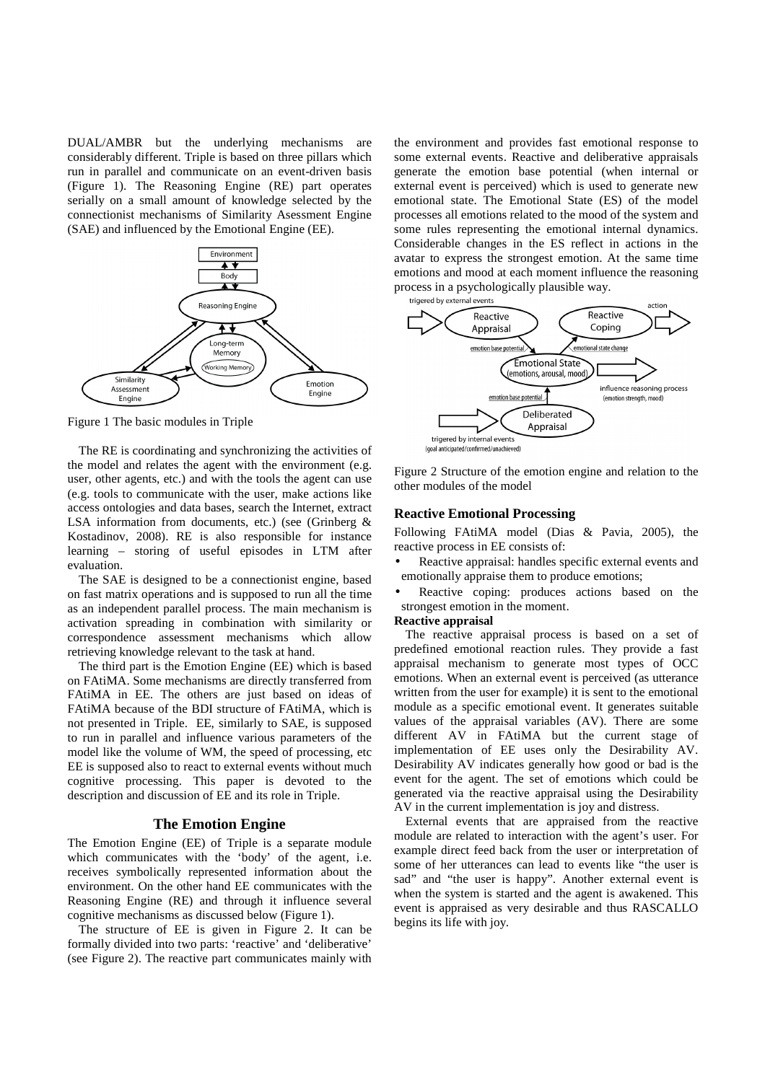DUAL/AMBR but the underlying mechanisms are considerably different. Triple is based on three pillars which run in parallel and communicate on an event-driven basis (Figure 1). The Reasoning Engine (RE) part operates serially on a small amount of knowledge selected by the connectionist mechanisms of Similarity Asessment Engine (SAE) and influenced by the Emotional Engine (EE).



Figure 1 The basic modules in Triple

The RE is coordinating and synchronizing the activities of the model and relates the agent with the environment (e.g. user, other agents, etc.) and with the tools the agent can use (e.g. tools to communicate with the user, make actions like access ontologies and data bases, search the Internet, extract LSA information from documents, etc.) (see (Grinberg & Kostadinov, 2008). RE is also responsible for instance learning – storing of useful episodes in LTM after evaluation.

The SAE is designed to be a connectionist engine, based on fast matrix operations and is supposed to run all the time as an independent parallel process. The main mechanism is activation spreading in combination with similarity or correspondence assessment mechanisms which allow retrieving knowledge relevant to the task at hand.

The third part is the Emotion Engine (EE) which is based on FAtiMA. Some mechanisms are directly transferred from FAtiMA in EE. The others are just based on ideas of FAtiMA because of the BDI structure of FAtiMA, which is not presented in Triple. EE, similarly to SAE, is supposed to run in parallel and influence various parameters of the model like the volume of WM, the speed of processing, etc EE is supposed also to react to external events without much cognitive processing. This paper is devoted to the description and discussion of EE and its role in Triple.

### **The Emotion Engine**

The Emotion Engine (EE) of Triple is a separate module which communicates with the 'body' of the agent, i.e. receives symbolically represented information about the environment. On the other hand EE communicates with the Reasoning Engine (RE) and through it influence several cognitive mechanisms as discussed below (Figure 1).

The structure of EE is given in Figure 2. It can be formally divided into two parts: 'reactive' and 'deliberative' (see Figure 2). The reactive part communicates mainly with

the environment and provides fast emotional response to some external events. Reactive and deliberative appraisals generate the emotion base potential (when internal or external event is perceived) which is used to generate new emotional state. The Emotional State (ES) of the model processes all emotions related to the mood of the system and some rules representing the emotional internal dynamics. Considerable changes in the ES reflect in actions in the avatar to express the strongest emotion. At the same time emotions and mood at each moment influence the reasoning process in a psychologically plausible way.



Figure 2 Structure of the emotion engine and relation to the other modules of the model

#### **Reactive Emotional Processing**

Following FAtiMA model (Dias & Pavia, 2005), the reactive process in EE consists of:

- Reactive appraisal: handles specific external events and emotionally appraise them to produce emotions;
- Reactive coping: produces actions based on the strongest emotion in the moment.

#### **Reactive appraisal**

The reactive appraisal process is based on a set of predefined emotional reaction rules. They provide a fast appraisal mechanism to generate most types of OCC emotions. When an external event is perceived (as utterance written from the user for example) it is sent to the emotional module as a specific emotional event. It generates suitable values of the appraisal variables (AV). There are some different AV in FAtiMA but the current stage of implementation of EE uses only the Desirability AV. Desirability AV indicates generally how good or bad is the event for the agent. The set of emotions which could be generated via the reactive appraisal using the Desirability AV in the current implementation is joy and distress.

External events that are appraised from the reactive module are related to interaction with the agent's user. For example direct feed back from the user or interpretation of some of her utterances can lead to events like "the user is sad" and "the user is happy". Another external event is when the system is started and the agent is awakened. This event is appraised as very desirable and thus RASCALLO begins its life with joy.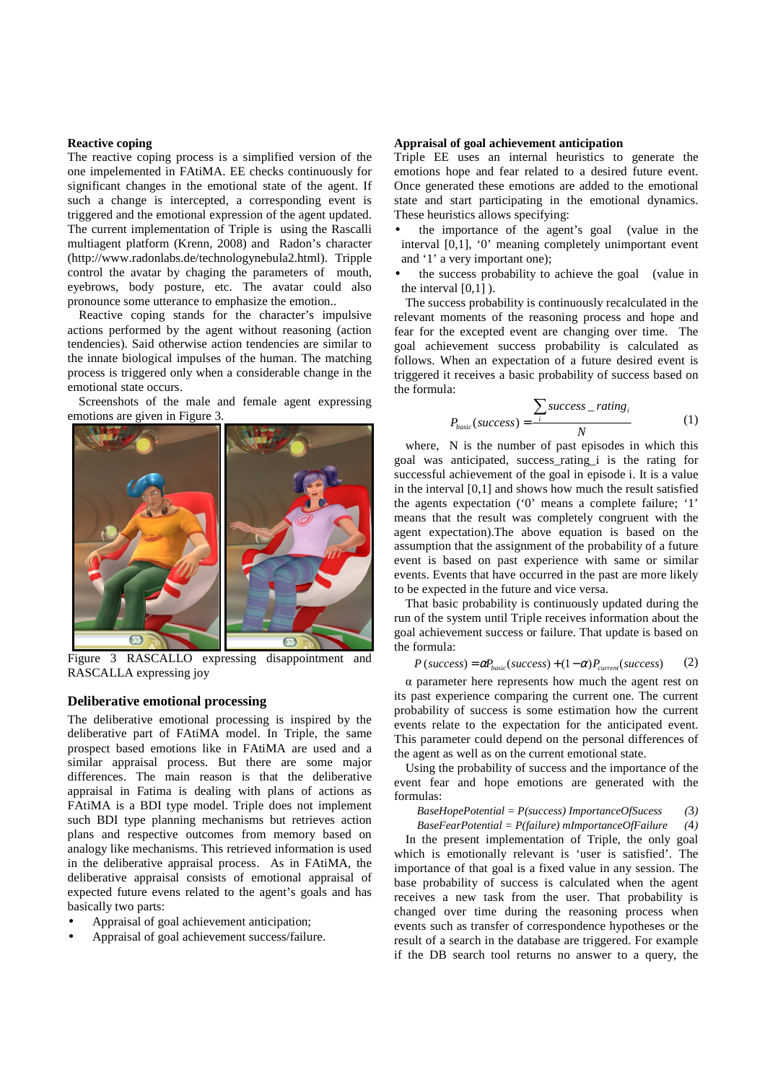#### **Reactive coping**

The reactive coping process is a simplified version of the one impelemented in FAtiMA. EE checks continuously for significant changes in the emotional state of the agent. If such a change is intercepted, a corresponding event is triggered and the emotional expression of the agent updated. The current implementation of Triple is using the Rascalli multiagent platform (Krenn, 2008) and Radon's character (http://www.radonlabs.de/technologynebula2.html). Tripple control the avatar by chaging the parameters of mouth, eyebrows, body posture, etc. The avatar could also pronounce some utterance to emphasize the emotion..

Reactive coping stands for the character's impulsive actions performed by the agent without reasoning (action tendencies). Said otherwise action tendencies are similar to the innate biological impulses of the human. The matching process is triggered only when a considerable change in the emotional state occurs.

Screenshots of the male and female agent expressing emotions are given in Figure 3.



Figure 3 RASCALLO expressing disappointment and RASCALLA expressing joy

# **Deliberative emotional processing**

The deliberative emotional processing is inspired by the deliberative part of FAtiMA model. In Triple, the same prospect based emotions like in FAtiMA are used and a similar appraisal process. But there are some major differences. The main reason is that the deliberative appraisal in Fatima is dealing with plans of actions as FAtiMA is a BDI type model. Triple does not implement such BDI type planning mechanisms but retrieves action plans and respective outcomes from memory based on analogy like mechanisms. This retrieved information is used in the deliberative appraisal process. As in FAtiMA, the deliberative appraisal consists of emotional appraisal of expected future evens related to the agent's goals and has basically two parts:

- Appraisal of goal achievement anticipation;
- Appraisal of goal achievement success/failure.

#### **Appraisal of goal achievement anticipation**

Triple EE uses an internal heuristics to generate the emotions hope and fear related to a desired future event. Once generated these emotions are added to the emotional state and start participating in the emotional dynamics. These heuristics allows specifying:

- the importance of the agent's goal (value in the interval [0,1], '0' meaning completely unimportant event and '1' a very important one);
- the success probability to achieve the goal (value in the interval  $[0,1]$ ).

The success probability is continuously recalculated in the relevant moments of the reasoning process and hope and fear for the excepted event are changing over time. The goal achievement success probability is calculated as follows. When an expectation of a future desired event is triggered it receives a basic probability of success based on the formula:

$$
P_{basic}(success) = \frac{\sum_{i}success\_rating_{i}}{N}
$$
 (1)

where, N is the number of past episodes in which this goal was anticipated, success\_rating\_i is the rating for successful achievement of the goal in episode i. It is a value in the interval [0,1] and shows how much the result satisfied the agents expectation ('0' means a complete failure; '1' means that the result was completely congruent with the agent expectation).The above equation is based on the assumption that the assignment of the probability of a future event is based on past experience with same or similar events. Events that have occurred in the past are more likely to be expected in the future and vice versa.

That basic probability is continuously updated during the run of the system until Triple receives information about the goal achievement success or failure. That update is based on the formula:

$$
P(success) = \alpha P_{basic}(success) + (1 - \alpha) P_{current}(success)
$$
 (2)

α parameter here represents how much the agent rest on its past experience comparing the current one. The current probability of success is some estimation how the current events relate to the expectation for the anticipated event. This parameter could depend on the personal differences of the agent as well as on the current emotional state.

Using the probability of success and the importance of the event fear and hope emotions are generated with the formulas:

*BaseHopePotential = P(success) ImportanceOfSucess (*3*)*

*BaseFearPotential = P(failure) mImportanceOfFailure (*4*)* 

In the present implementation of Triple, the only goal which is emotionally relevant is 'user is satisfied'. The importance of that goal is a fixed value in any session. The base probability of success is calculated when the agent receives a new task from the user. That probability is changed over time during the reasoning process when events such as transfer of correspondence hypotheses or the result of a search in the database are triggered. For example if the DB search tool returns no answer to a query, the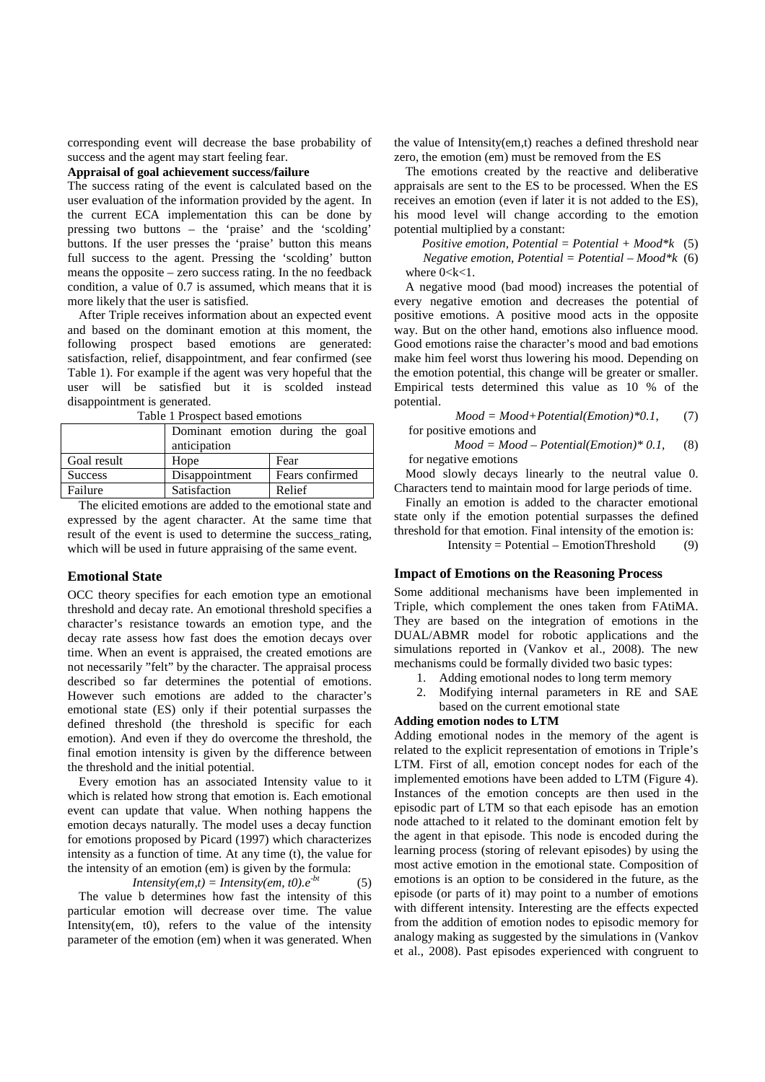corresponding event will decrease the base probability of success and the agent may start feeling fear.

**Appraisal of goal achievement success/failure** 

The success rating of the event is calculated based on the user evaluation of the information provided by the agent. In the current ECA implementation this can be done by pressing two buttons – the 'praise' and the 'scolding' buttons. If the user presses the 'praise' button this means full success to the agent. Pressing the 'scolding' button means the opposite – zero success rating. In the no feedback condition, a value of 0.7 is assumed, which means that it is more likely that the user is satisfied.

After Triple receives information about an expected event and based on the dominant emotion at this moment, the following prospect based emotions are generated: satisfaction, relief, disappointment, and fear confirmed (see Table 1). For example if the agent was very hopeful that the user will be satisfied but it is scolded instead disappointment is generated.

| raone i riospect basea emotions |                                  |                 |  |
|---------------------------------|----------------------------------|-----------------|--|
|                                 | Dominant emotion during the goal |                 |  |
|                                 | anticipation                     |                 |  |
| Goal result                     | Hope                             | Fear            |  |
| <b>Success</b>                  | Disappointment                   | Fears confirmed |  |
| Failure                         | Satisfaction                     | Relief          |  |

Table 1 Prospect based emotions

The elicited emotions are added to the emotional state and expressed by the agent character. At the same time that result of the event is used to determine the success\_rating, which will be used in future appraising of the same event.

### **Emotional State**

OCC theory specifies for each emotion type an emotional threshold and decay rate. An emotional threshold specifies a character's resistance towards an emotion type, and the decay rate assess how fast does the emotion decays over time. When an event is appraised, the created emotions are not necessarily "felt" by the character. The appraisal process described so far determines the potential of emotions. However such emotions are added to the character's emotional state (ES) only if their potential surpasses the defined threshold (the threshold is specific for each emotion). And even if they do overcome the threshold, the final emotion intensity is given by the difference between the threshold and the initial potential.

Every emotion has an associated Intensity value to it which is related how strong that emotion is. Each emotional event can update that value. When nothing happens the emotion decays naturally. The model uses a decay function for emotions proposed by Picard (1997) which characterizes intensity as a function of time. At any time (t), the value for the intensity of an emotion (em) is given by the formula:

*Intensity(em,t)* = *Intensity(em, t0).e<sup>-bt</sup>* (5)

The value b determines how fast the intensity of this particular emotion will decrease over time. The value Intensity(em, t0), refers to the value of the intensity parameter of the emotion (em) when it was generated. When

the value of Intensity(em,t) reaches a defined threshold near zero, the emotion (em) must be removed from the ES

The emotions created by the reactive and deliberative appraisals are sent to the ES to be processed. When the ES receives an emotion (even if later it is not added to the ES), his mood level will change according to the emotion potential multiplied by a constant:

*Positive emotion, Potential = Potential + Mood\*k* (5) *Negative emotion, Potential = Potential – Mood\*k* (6) where  $0 < k < 1$ .

A negative mood (bad mood) increases the potential of every negative emotion and decreases the potential of positive emotions. A positive mood acts in the opposite way. But on the other hand, emotions also influence mood. Good emotions raise the character's mood and bad emotions make him feel worst thus lowering his mood. Depending on the emotion potential, this change will be greater or smaller. Empirical tests determined this value as 10 % of the potential.

*Mood = Mood+Potential(Emotion)\*0.1*, (7) for positive emotions and

*Mood = Mood – Potential(Emotion)\* 0.1,* (8) for negative emotions

Mood slowly decays linearly to the neutral value 0. Characters tend to maintain mood for large periods of time.

Finally an emotion is added to the character emotional state only if the emotion potential surpasses the defined threshold for that emotion. Final intensity of the emotion is:

Intensity = Potential – EmotionThreshold  $(9)$ 

# **Impact of Emotions on the Reasoning Process**

Some additional mechanisms have been implemented in Triple, which complement the ones taken from FAtiMA. They are based on the integration of emotions in the DUAL/ABMR model for robotic applications and the simulations reported in (Vankov et al., 2008). The new mechanisms could be formally divided two basic types:

- 1. Adding emotional nodes to long term memory
- 2. Modifying internal parameters in RE and SAE based on the current emotional state

#### **Adding emotion nodes to LTM**

Adding emotional nodes in the memory of the agent is related to the explicit representation of emotions in Triple's LTM. First of all, emotion concept nodes for each of the implemented emotions have been added to LTM (Figure 4). Instances of the emotion concepts are then used in the episodic part of LTM so that each episode has an emotion node attached to it related to the dominant emotion felt by the agent in that episode. This node is encoded during the learning process (storing of relevant episodes) by using the most active emotion in the emotional state. Composition of emotions is an option to be considered in the future, as the episode (or parts of it) may point to a number of emotions with different intensity. Interesting are the effects expected from the addition of emotion nodes to episodic memory for analogy making as suggested by the simulations in (Vankov et al., 2008). Past episodes experienced with congruent to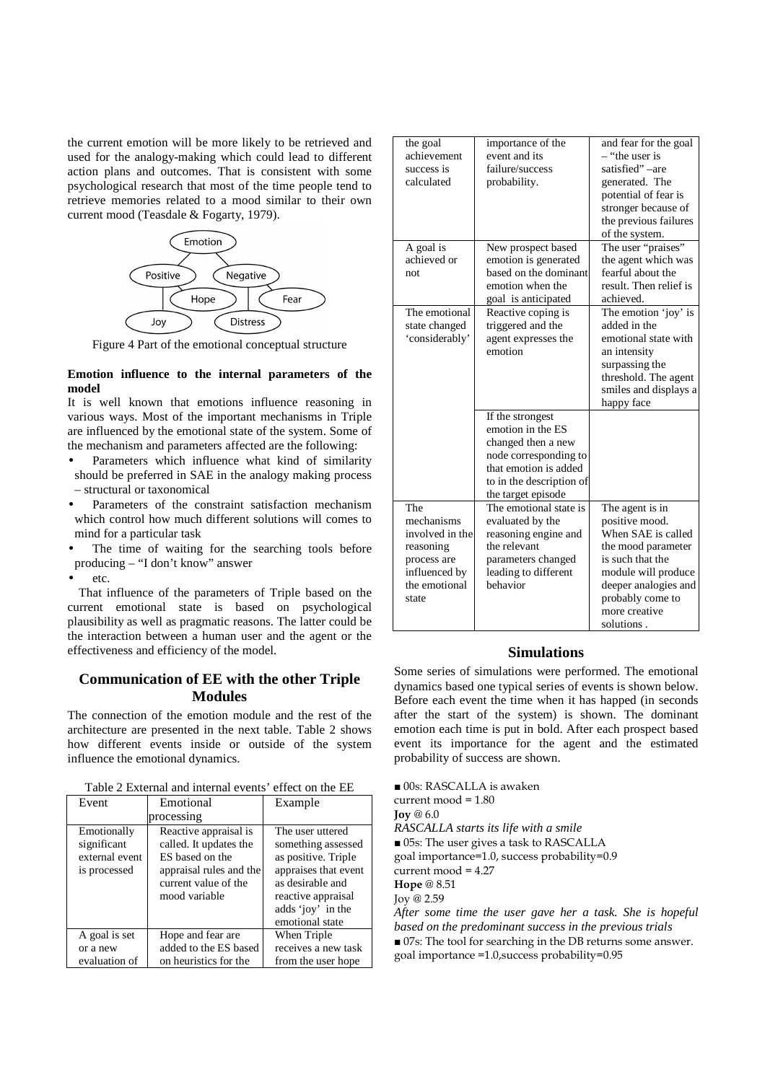the current emotion will be more likely to be retrieved and used for the analogy-making which could lead to different action plans and outcomes. That is consistent with some psychological research that most of the time people tend to retrieve memories related to a mood similar to their own current mood (Teasdale & Fogarty, 1979).



Figure 4 Part of the emotional conceptual structure

### **Emotion influence to the internal parameters of the model**

It is well known that emotions influence reasoning in various ways. Most of the important mechanisms in Triple are influenced by the emotional state of the system. Some of the mechanism and parameters affected are the following:

- Parameters which influence what kind of similarity should be preferred in SAE in the analogy making process – structural or taxonomical
- Parameters of the constraint satisfaction mechanism which control how much different solutions will comes to mind for a particular task
- The time of waiting for the searching tools before producing – "I don't know" answer
- etc.

That influence of the parameters of Triple based on the current emotional state is based on psychological plausibility as well as pragmatic reasons. The latter could be the interaction between a human user and the agent or the effectiveness and efficiency of the model.

# **Communication of EE with the other Triple Modules**

The connection of the emotion module and the rest of the architecture are presented in the next table. Table 2 shows how different events inside or outside of the system influence the emotional dynamics.

Table 2 External and internal events' effect on the EE

| Event                                                        | Emotional                                                                                                                              | Example                                                                                                                                              |  |
|--------------------------------------------------------------|----------------------------------------------------------------------------------------------------------------------------------------|------------------------------------------------------------------------------------------------------------------------------------------------------|--|
| processing                                                   |                                                                                                                                        |                                                                                                                                                      |  |
| Emotionally<br>significant<br>external event<br>is processed | Reactive appraisal is<br>called. It updates the<br>ES based on the<br>appraisal rules and the<br>current value of the<br>mood variable | The user uttered<br>something assessed<br>as positive. Triple<br>appraises that event<br>as desirable and<br>reactive appraisal<br>adds 'joy' in the |  |
|                                                              |                                                                                                                                        | emotional state                                                                                                                                      |  |
| A goal is set                                                | Hope and fear are.                                                                                                                     | When Triple                                                                                                                                          |  |
| or a new                                                     | added to the ES based                                                                                                                  | receives a new task                                                                                                                                  |  |
| evaluation of                                                | on heuristics for the                                                                                                                  | from the user hope                                                                                                                                   |  |

| the goal        | importance of the                     | and fear for the goal  |
|-----------------|---------------------------------------|------------------------|
| achievement     | event and its                         | - "the user is         |
| success is      | failure/success                       | satisfied"-are         |
| calculated      | probability.                          | generated. The         |
|                 |                                       | potential of fear is   |
|                 |                                       | stronger because of    |
|                 |                                       | the previous failures  |
|                 |                                       | of the system.         |
| A goal is       | New prospect based                    | The user "praises"     |
| achieved or     | emotion is generated                  | the agent which was    |
| not             | based on the dominant                 | fearful about the      |
|                 | emotion when the                      | result. Then relief is |
|                 | goal is anticipated                   | achieved.              |
| The emotional   | Reactive coping is                    | The emotion 'joy' is   |
| state changed   | triggered and the                     | added in the           |
| 'considerably'  | agent expresses the                   | emotional state with   |
|                 | emotion                               | an intensity           |
|                 |                                       | surpassing the         |
|                 |                                       | threshold. The agent   |
|                 |                                       | smiles and displays a  |
|                 |                                       |                        |
|                 |                                       | happy face             |
|                 | If the strongest<br>emotion in the ES |                        |
|                 |                                       |                        |
|                 | changed then a new                    |                        |
|                 | node corresponding to                 |                        |
|                 | that emotion is added                 |                        |
|                 | to in the description of              |                        |
|                 | the target episode                    |                        |
| The             | The emotional state is                | The agent is in        |
| mechanisms      | evaluated by the                      | positive mood.         |
| involved in the | reasoning engine and                  | When SAE is called     |
| reasoning       | the relevant                          | the mood parameter     |
| process are     | parameters changed                    | is such that the       |
| influenced by   | leading to different                  | module will produce    |
| the emotional   | behavior                              | deeper analogies and   |
| state           |                                       | probably come to       |
|                 |                                       | more creative          |
|                 |                                       | solutions.             |
|                 |                                       |                        |

### **Simulations**

Some series of simulations were performed. The emotional dynamics based one typical series of events is shown below. Before each event the time when it has happed (in seconds after the start of the system) is shown. The dominant emotion each time is put in bold. After each prospect based event its importance for the agent and the estimated probability of success are shown.

■ 00s: RASCALLA is awaken current mood = 1.80 **Joy** @ 6.0 *RASCALLA starts its life with a smile*  ■ 05s: The user gives a task to RASCALLA goal importance=1.0, success probability=0.9 current mood = 4.27 **Hope** @ 8.51 Joy @ 2.59 *After some time the user gave her a task. She is hopeful based on the predominant success in the previous trials*  ■ 07s: The tool for searching in the DB returns some answer. goal importance =1.0,success probability=0.95